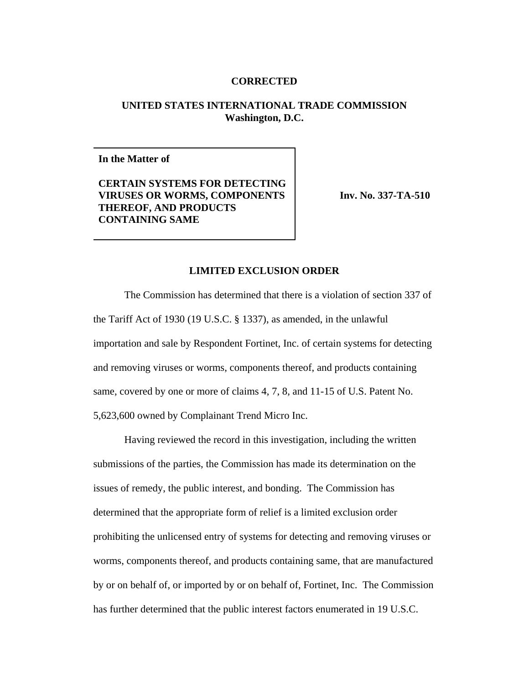## **CORRECTED**

## **UNITED STATES INTERNATIONAL TRADE COMMISSION Washington, D.C.**

**In the Matter of**

**CERTAIN SYSTEMS FOR DETECTING VIRUSES OR WORMS, COMPONENTS THEREOF, AND PRODUCTS CONTAINING SAME**

**Inv. No. 337-TA-510**

## **LIMITED EXCLUSION ORDER**

The Commission has determined that there is a violation of section 337 of the Tariff Act of 1930 (19 U.S.C. § 1337), as amended, in the unlawful importation and sale by Respondent Fortinet, Inc. of certain systems for detecting and removing viruses or worms, components thereof, and products containing same, covered by one or more of claims 4, 7, 8, and 11-15 of U.S. Patent No. 5,623,600 owned by Complainant Trend Micro Inc.

Having reviewed the record in this investigation, including the written submissions of the parties, the Commission has made its determination on the issues of remedy, the public interest, and bonding. The Commission has determined that the appropriate form of relief is a limited exclusion order prohibiting the unlicensed entry of systems for detecting and removing viruses or worms, components thereof, and products containing same, that are manufactured by or on behalf of, or imported by or on behalf of, Fortinet, Inc. The Commission has further determined that the public interest factors enumerated in 19 U.S.C.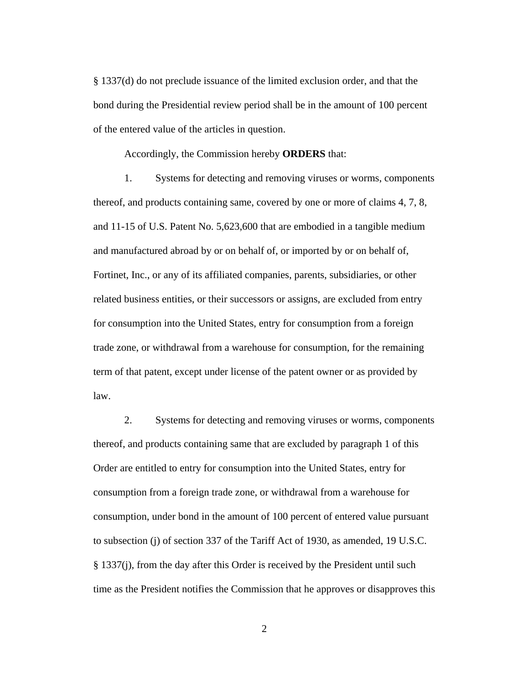§ 1337(d) do not preclude issuance of the limited exclusion order, and that the bond during the Presidential review period shall be in the amount of 100 percent of the entered value of the articles in question.

Accordingly, the Commission hereby **ORDERS** that:

1. Systems for detecting and removing viruses or worms, components thereof, and products containing same, covered by one or more of claims 4, 7, 8, and 11-15 of U.S. Patent No. 5,623,600 that are embodied in a tangible medium and manufactured abroad by or on behalf of, or imported by or on behalf of, Fortinet, Inc., or any of its affiliated companies, parents, subsidiaries, or other related business entities, or their successors or assigns, are excluded from entry for consumption into the United States, entry for consumption from a foreign trade zone, or withdrawal from a warehouse for consumption, for the remaining term of that patent, except under license of the patent owner or as provided by law.

2. Systems for detecting and removing viruses or worms, components thereof, and products containing same that are excluded by paragraph 1 of this Order are entitled to entry for consumption into the United States, entry for consumption from a foreign trade zone, or withdrawal from a warehouse for consumption, under bond in the amount of 100 percent of entered value pursuant to subsection (j) of section 337 of the Tariff Act of 1930, as amended, 19 U.S.C. § 1337(j), from the day after this Order is received by the President until such time as the President notifies the Commission that he approves or disapproves this

2